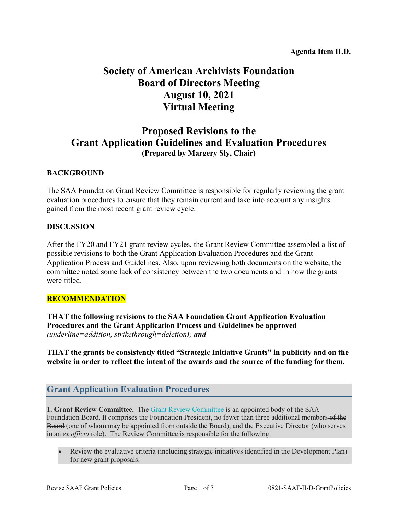# **Society of American Archivists Foundation Board of Directors Meeting August 10, 2021 Virtual Meeting**

# **Proposed Revisions to the Grant Application Guidelines and Evaluation Procedures (Prepared by Margery Sly, Chair)**

### **BACKGROUND**

The SAA Foundation Grant Review Committee is responsible for regularly reviewing the grant evaluation procedures to ensure that they remain current and take into account any insights gained from the most recent grant review cycle.

#### **DISCUSSION**

After the FY20 and FY21 grant review cycles, the Grant Review Committee assembled a list of possible revisions to both the Grant Application Evaluation Procedures and the Grant Application Process and Guidelines. Also, upon reviewing both documents on the website, the committee noted some lack of consistency between the two documents and in how the grants were titled.

#### **RECOMMENDATION**

**THAT the following revisions to the SAA Foundation Grant Application Evaluation Procedures and the Grant Application Process and Guidelines be approved**  *(underline=addition, strikethrough=deletion); and*

**THAT the grants be consistently titled "Strategic Initiative Grants" in publicity and on the website in order to reflect the intent of the awards and the source of the funding for them.**

## **Grant Application Evaluation Procedures**

**1. Grant Review Committee.** The [Grant Review Committee](https://www2.archivists.org/groups/saa-foundation-board-of-directors/saa-foundation-grant-review-committee) is an appointed body of the SAA Foundation Board. It comprises the Foundation President, no fewer than three additional members of the Board (one of whom may be appointed from outside the Board), and the Executive Director (who serves in an *ex officio* role). The Review Committee is responsible for the following:

• Review the evaluative criteria (including strategic initiatives identified in the Development Plan) for new grant proposals.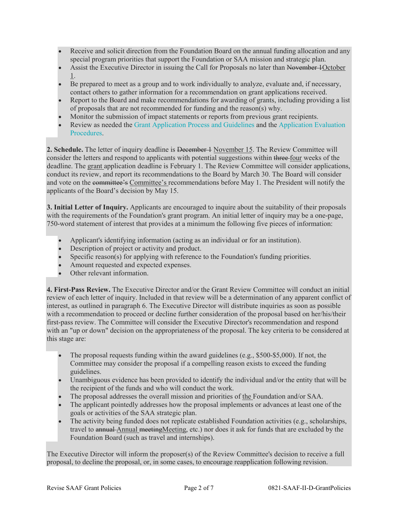- Receive and solicit direction from the Foundation Board on the annual funding allocation and any special program priorities that support the Foundation or SAA mission and strategic plan.
- Assist the Executive Director in issuing the Call for Proposals no later than November 10ctober 1.
- Be prepared to meet as a group and to work individually to analyze, evaluate and, if necessary, contact others to gather information for a recommendation on grant applications received.
- Report to the Board and make recommendations for awarding of grants, including providing a list of proposals that are not recommended for funding and the reason(s) why.
- Monitor the submission of impact statements or reports from previous grant recipients.
- Review as needed the [Grant Application Process and Guidelines](https://www2.archivists.org/groups/saa-foundation-board-of-directors/society-of-american-archivists-foundation-grant-application) and the [Application Evaluation](https://www2.archivists.org/groups/saa-foundation-board-of-directors/application-evaluation-procedures)  [Procedures.](https://www2.archivists.org/groups/saa-foundation-board-of-directors/application-evaluation-procedures)

**2. Schedule.** The letter of inquiry deadline is December 1 November 15. The Review Committee will consider the letters and respond to applicants with potential suggestions within three four weeks of the deadline. The grant application deadline is February 1. The Review Committee will consider applications, conduct its review, and report its recommendations to the Board by March 30. The Board will consider and vote on the committee's Committee's recommendations before May 1. The President will notify the applicants of the Board's decision by May 15.

**3. Initial Letter of Inquiry.** Applicants are encouraged to inquire about the suitability of their proposals with the requirements of the Foundation's grant program. An initial letter of inquiry may be a one-page, 750-word statement of interest that provides at a minimum the following five pieces of information:

- Applicant's identifying information (acting as an individual or for an institution).
- Description of project or activity and product.
- Specific reason(s) for applying with reference to the Foundation's funding priorities.
- Amount requested and expected expenses.
- Other relevant information.

**4. First-Pass Review.** The Executive Director and/or the Grant Review Committee will conduct an initial review of each letter of inquiry. Included in that review will be a determination of any apparent conflict of interest, as outlined in paragraph 6. The Executive Director will distribute inquiries as soon as possible with a recommendation to proceed or decline further consideration of the proposal based on her/his/their first-pass review. The Committee will consider the Executive Director's recommendation and respond with an "up or down" decision on the appropriateness of the proposal. The key criteria to be considered at this stage are:

- The proposal requests funding within the award guidelines (e.g., \$500-\$5,000). If not, the Committee may consider the proposal if a compelling reason exists to exceed the funding guidelines.
- Unambiguous evidence has been provided to identify the individual and/or the entity that will be the recipient of the funds and who will conduct the work.
- The proposal addresses the overall mission and priorities of the Foundation and/or SAA.
- The applicant pointedly addresses how the proposal implements or advances at least one of the goals or activities of the SAA strategic plan.
- The activity being funded does not replicate established Foundation activities (e.g., scholarships, travel to annual Annual meetingMeeting, etc.) nor does it ask for funds that are excluded by the Foundation Board (such as travel and internships).

The Executive Director will inform the proposer(s) of the Review Committee's decision to receive a full proposal, to decline the proposal, or, in some cases, to encourage reapplication following revision.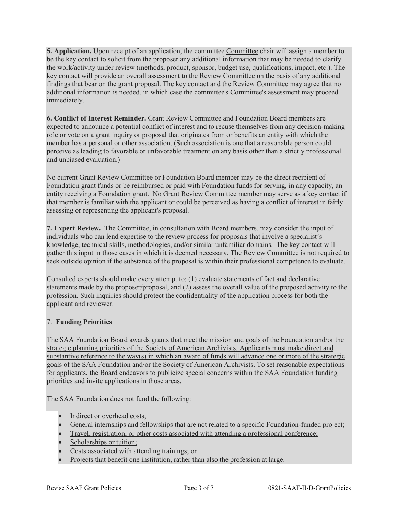**5. Application.** Upon receipt of an application, the committee Committee chair will assign a member to be the key contact to solicit from the proposer any additional information that may be needed to clarify the work/activity under review (methods, product, sponsor, budget use, qualifications, impact, etc.). The key contact will provide an overall assessment to the Review Committee on the basis of any additional findings that bear on the grant proposal. The key contact and the Review Committee may agree that no additional information is needed, in which case the committee's Committee's assessment may proceed immediately.

**6. Conflict of Interest Reminder.** Grant Review Committee and Foundation Board members are expected to announce a potential conflict of interest and to recuse themselves from any decision-making role or vote on a grant inquiry or proposal that originates from or benefits an entity with which the member has a personal or other association. (Such association is one that a reasonable person could perceive as leading to favorable or unfavorable treatment on any basis other than a strictly professional and unbiased evaluation.)

No current Grant Review Committee or Foundation Board member may be the direct recipient of Foundation grant funds or be reimbursed or paid with Foundation funds for serving, in any capacity, an entity receiving a Foundation grant. No Grant Review Committee member may serve as a key contact if that member is familiar with the applicant or could be perceived as having a conflict of interest in fairly assessing or representing the applicant's proposal.

**7. Expert Review.** The Committee, in consultation with Board members, may consider the input of individuals who can lend expertise to the review process for proposals that involve a specialist's knowledge, technical skills, methodologies, and/or similar unfamiliar domains. The key contact will gather this input in those cases in which it is deemed necessary. The Review Committee is not required to seek outside opinion if the substance of the proposal is within their professional competence to evaluate.

Consulted experts should make every attempt to: (1) evaluate statements of fact and declarative statements made by the proposer/proposal, and (2) assess the overall value of the proposed activity to the profession. Such inquiries should protect the confidentiality of the application process for both the applicant and reviewer.

#### 7. **Funding Priorities**

The SAA Foundation Board awards grants that meet the mission and goals of the Foundation and/or the strategic planning priorities of the Society of American Archivists. Applicants must make direct and substantive reference to the way(s) in which an award of funds will advance one or more of the strategic goals of the SAA Foundation and/or the Society of American Archivists. To set reasonable expectations for applicants, the Board endeavors to publicize special concerns within the SAA Foundation funding priorities and invite applications in those areas.

The SAA Foundation does not fund the following:

- Indirect or overhead costs;
- General internships and fellowships that are not related to a specific Foundation-funded project;
- Travel, registration, or other costs associated with attending a professional conference;
- Scholarships or tuition;
- Costs associated with attending trainings; or
- Projects that benefit one institution, rather than also the profession at large.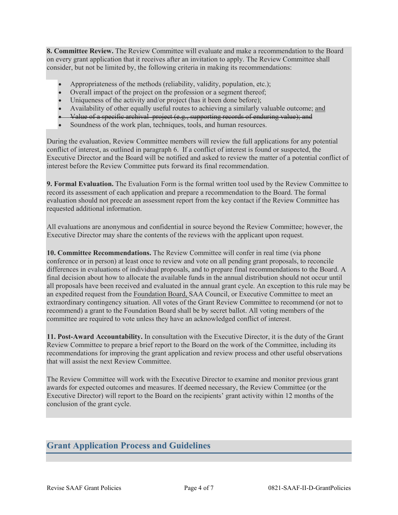**8. Committee Review.** The Review Committee will evaluate and make a recommendation to the Board on every grant application that it receives after an invitation to apply. The Review Committee shall consider, but not be limited by, the following criteria in making its recommendations:

- Appropriateness of the methods (reliability, validity, population, etc.);
- Overall impact of the project on the profession or a segment thereof;
- Uniqueness of the activity and/or project (has it been done before);
- Availability of other equally useful routes to achieving a similarly valuable outcome; and
- Value of a specific archival project (e.g., supporting records of enduring value); and
- Soundness of the work plan, techniques, tools, and human resources.

During the evaluation, Review Committee members will review the full applications for any potential conflict of interest, as outlined in paragraph 6. If a conflict of interest is found or suspected, the Executive Director and the Board will be notified and asked to review the matter of a potential conflict of interest before the Review Committee puts forward its final recommendation.

**9. Formal Evaluation.** The Evaluation Form is the formal written tool used by the Review Committee to record its assessment of each application and prepare a recommendation to the Board. The formal evaluation should not precede an assessment report from the key contact if the Review Committee has requested additional information.

All evaluations are anonymous and confidential in source beyond the Review Committee; however, the Executive Director may share the contents of the reviews with the applicant upon request.

**10. Committee Recommendations.** The Review Committee will confer in real time (via phone conference or in person) at least once to review and vote on all pending grant proposals, to reconcile differences in evaluations of individual proposals, and to prepare final recommendations to the Board. A final decision about how to allocate the available funds in the annual distribution should not occur until all proposals have been received and evaluated in the annual grant cycle. An exception to this rule may be an expedited request from the Foundation Board, SAA Council, or Executive Committee to meet an extraordinary contingency situation. All votes of the Grant Review Committee to recommend (or not to recommend) a grant to the Foundation Board shall be by secret ballot. All voting members of the committee are required to vote unless they have an acknowledged conflict of interest.

**11. Post-Award Accountability.** In consultation with the Executive Director, it is the duty of the Grant Review Committee to prepare a brief report to the Board on the work of the Committee, including its recommendations for improving the grant application and review process and other useful observations that will assist the next Review Committee.

The Review Committee will work with the Executive Director to examine and monitor previous grant awards for expected outcomes and measures. If deemed necessary, the Review Committee (or the Executive Director) will report to the Board on the recipients' grant activity within 12 months of the conclusion of the grant cycle.

## **Grant Application Process and Guidelines**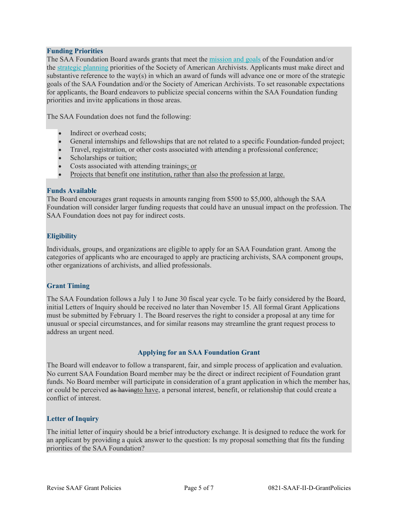#### **Funding Priorities**

The SAA Foundation Board awards grants that meet the [mission and goals](https://www2.archivists.org/foundation) of the Foundation and/or the [strategic planning](https://www2.archivists.org/governance/strategic-plan) priorities of the Society of American Archivists. Applicants must make direct and substantive reference to the way(s) in which an award of funds will advance one or more of the strategic goals of the SAA Foundation and/or the Society of American Archivists. To set reasonable expectations for applicants, the Board endeavors to publicize special concerns within the SAA Foundation funding priorities and invite applications in those areas.

The SAA Foundation does not fund the following:

- Indirect or overhead costs:
- General internships and fellowships that are not related to a specific Foundation-funded project;
- Travel, registration, or other costs associated with attending a professional conference;
- Scholarships or tuition;
- Costs associated with attending trainings; or
- Projects that benefit one institution, rather than also the profession at large.

#### **Funds Available**

The Board encourages grant requests in amounts ranging from \$500 to \$5,000, although the SAA Foundation will consider larger funding requests that could have an unusual impact on the profession. The SAA Foundation does not pay for indirect costs.

#### **Eligibility**

Individuals, groups, and organizations are eligible to apply for an SAA Foundation grant. Among the categories of applicants who are encouraged to apply are practicing archivists, SAA component groups, other organizations of archivists, and allied professionals.

#### **Grant Timing**

The SAA Foundation follows a July 1 to June 30 fiscal year cycle. To be fairly considered by the Board, initial Letters of Inquiry should be received no later than November 15. All formal Grant Applications must be submitted by February 1. The Board reserves the right to consider a proposal at any time for unusual or special circumstances, and for similar reasons may streamline the grant request process to address an urgent need.

#### **Applying for an SAA Foundation Grant**

The Board will endeavor to follow a transparent, fair, and simple process of application and evaluation. No current SAA Foundation Board member may be the direct or indirect recipient of Foundation grant funds. No Board member will participate in consideration of a grant application in which the member has, or could be perceived as havingto have, a personal interest, benefit, or relationship that could create a conflict of interest.

#### **Letter of Inquiry**

The initial letter of inquiry should be a brief introductory exchange. It is designed to reduce the work for an applicant by providing a quick answer to the question: Is my proposal something that fits the funding priorities of the SAA Foundation?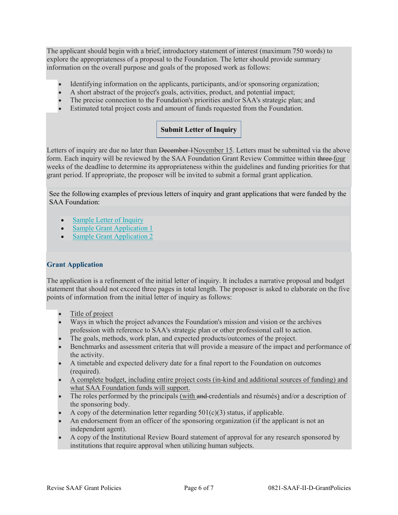The applicant should begin with a brief, introductory statement of interest (maximum 750 words) to explore the appropriateness of a proposal to the Foundation. The letter should provide summary information on the overall purpose and goals of the proposed work as follows:

- Identifying information on the applicants, participants, and/or sponsoring organization;
- A short abstract of the project's goals, activities, product, and potential impact;
- The precise connection to the Foundation's priorities and/or SAA's strategic plan; and
- Estimated total project costs and amount of funds requested from the Foundation.

### **Submit Letter of [Inquiry](https://app.smarterselect.com/programs/49091-Society-Of-American-Archivists)**

Letters of inquiry are due no later than <del>December 1</del>November 15. Letters must be submitted via the above form. Each inquiry will be reviewed by the SAA Foundation Grant Review Committee within three-four weeks of the deadline to determine its appropriateness within the guidelines and funding priorities for that grant period. If appropriate, the proposer will be invited to submit a formal grant application.

See the following examples of previous letters of inquiry and grant applications that were funded by the SAA Foundation:

- [Sample Letter of Inquiry](http://files.archivists.org/SAAF/SAMPLE_LOI_SAAF.pdf)
- [Sample Grant Application 1](http://files.archivists.org/SAAF/SAMPLE_GrantApplication_2017_Freeman.pdf)
- [Sample Grant Application 2](http://files.archivists.org/SAAF/SAMPLE_GrantApplication_2017_GoldmanTansey.pdf)

#### **Grant Application**

The application is a refinement of the initial letter of inquiry. It includes a narrative proposal and budget statement that should not exceed three pages in total length. The proposer is asked to elaborate on the five points of information from the initial letter of inquiry as follows:

- Title of project
- Ways in which the project advances the Foundation's mission and vision or the archives profession with reference to SAA's strategic plan or other professional call to action.
- The goals, methods, work plan, and expected products/outcomes of the project.
- Benchmarks and assessment criteria that will provide a measure of the impact and performance of the activity.
- A timetable and expected delivery date for a final report to the Foundation on outcomes (required).
- A complete budget, including entire project costs (in-kind and additional sources of funding) and what SAA Foundation funds will support.
- The roles performed by the principals (with and credentials and résumés) and/or a description of the sponsoring body.
- A copy of the determination letter regarding  $501(c)(3)$  status, if applicable.
- An endorsement from an officer of the sponsoring organization (if the applicant is not an independent agent).
- A copy of the Institutional Review Board statement of approval for any research sponsored by institutions that require approval when utilizing human subjects.